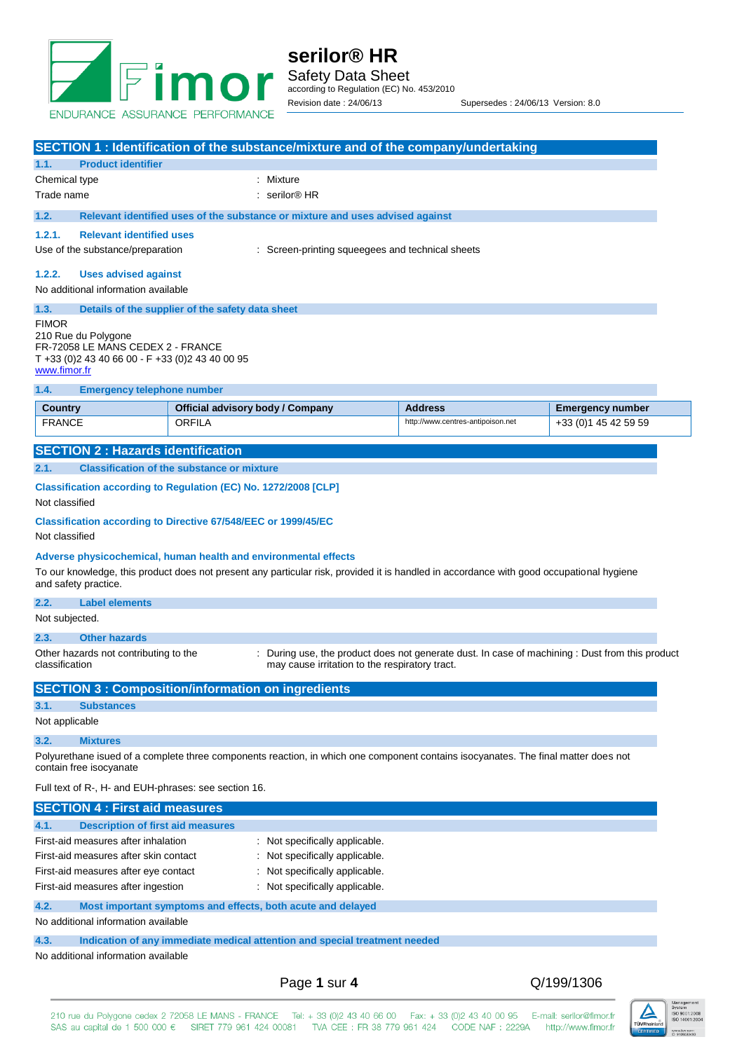

|                          |                                                                       |                                                   |                                                                               | SECTION 1 : Identification of the substance/mixture and of the company/undertaking                                                       |                                                                                                 |
|--------------------------|-----------------------------------------------------------------------|---------------------------------------------------|-------------------------------------------------------------------------------|------------------------------------------------------------------------------------------------------------------------------------------|-------------------------------------------------------------------------------------------------|
| 1.1.                     | <b>Product identifier</b>                                             |                                                   |                                                                               |                                                                                                                                          |                                                                                                 |
| Chemical type            |                                                                       |                                                   | : Mixture                                                                     |                                                                                                                                          |                                                                                                 |
| Trade name               |                                                                       |                                                   | $:$ serilor® HR                                                               |                                                                                                                                          |                                                                                                 |
| 1.2.                     |                                                                       |                                                   | Relevant identified uses of the substance or mixture and uses advised against |                                                                                                                                          |                                                                                                 |
| 1.2.1.                   | <b>Relevant identified uses</b>                                       |                                                   |                                                                               |                                                                                                                                          |                                                                                                 |
|                          | Use of the substance/preparation                                      |                                                   | : Screen-printing squeegees and technical sheets                              |                                                                                                                                          |                                                                                                 |
|                          |                                                                       |                                                   |                                                                               |                                                                                                                                          |                                                                                                 |
| 1.2.2.                   | <b>Uses advised against</b>                                           |                                                   |                                                                               |                                                                                                                                          |                                                                                                 |
|                          | No additional information available                                   |                                                   |                                                                               |                                                                                                                                          |                                                                                                 |
| 1.3.                     |                                                                       | Details of the supplier of the safety data sheet  |                                                                               |                                                                                                                                          |                                                                                                 |
| FIMOR                    | 210 Rue du Polygone                                                   |                                                   |                                                                               |                                                                                                                                          |                                                                                                 |
|                          | FR-72058 LE MANS CEDEX 2 - FRANCE                                     |                                                   |                                                                               |                                                                                                                                          |                                                                                                 |
| www.fimor.fr             | T +33 (0) 2 43 40 66 00 - F +33 (0) 2 43 40 00 95                     |                                                   |                                                                               |                                                                                                                                          |                                                                                                 |
| 1.4.                     | <b>Emergency telephone number</b>                                     |                                                   |                                                                               |                                                                                                                                          |                                                                                                 |
|                          |                                                                       |                                                   |                                                                               |                                                                                                                                          |                                                                                                 |
| Country<br><b>FRANCE</b> |                                                                       | <b>ORFILA</b>                                     | Official advisory body / Company                                              | <b>Address</b><br>http://www.centres-antipoison.net                                                                                      | <b>Emergency number</b><br>+33 (0) 1 45 42 59 59                                                |
|                          |                                                                       |                                                   |                                                                               |                                                                                                                                          |                                                                                                 |
|                          | <b>SECTION 2: Hazards identification</b>                              |                                                   |                                                                               |                                                                                                                                          |                                                                                                 |
| 2.1.                     |                                                                       | <b>Classification of the substance or mixture</b> |                                                                               |                                                                                                                                          |                                                                                                 |
|                          | Classification according to Regulation (EC) No. 1272/2008 [CLP]       |                                                   |                                                                               |                                                                                                                                          |                                                                                                 |
| Not classified           |                                                                       |                                                   |                                                                               |                                                                                                                                          |                                                                                                 |
|                          | <b>Classification according to Directive 67/548/EEC or 1999/45/EC</b> |                                                   |                                                                               |                                                                                                                                          |                                                                                                 |
| Not classified           |                                                                       |                                                   |                                                                               |                                                                                                                                          |                                                                                                 |
|                          |                                                                       |                                                   | Adverse physicochemical, human health and environmental effects               |                                                                                                                                          |                                                                                                 |
|                          | and safety practice.                                                  |                                                   |                                                                               | To our knowledge, this product does not present any particular risk, provided it is handled in accordance with good occupational hygiene |                                                                                                 |
| 2.2.                     | <b>Label elements</b>                                                 |                                                   |                                                                               |                                                                                                                                          |                                                                                                 |
|                          | Not subjected.                                                        |                                                   |                                                                               |                                                                                                                                          |                                                                                                 |
| 2.3.                     | <b>Other hazards</b>                                                  |                                                   |                                                                               |                                                                                                                                          |                                                                                                 |
|                          | Other hazards not contributing to the                                 |                                                   |                                                                               |                                                                                                                                          | : During use, the product does not generate dust. In case of machining : Dust from this product |
| classification           |                                                                       |                                                   | may cause irritation to the respiratory tract.                                |                                                                                                                                          |                                                                                                 |
|                          |                                                                       |                                                   | <b>SECTION 3: Composition/information on ingredients</b>                      |                                                                                                                                          |                                                                                                 |
| 3.1.                     | <b>Substances</b>                                                     |                                                   |                                                                               |                                                                                                                                          |                                                                                                 |
| Not applicable           |                                                                       |                                                   |                                                                               |                                                                                                                                          |                                                                                                 |
| 3.2.                     | <b>Mixtures</b>                                                       |                                                   |                                                                               |                                                                                                                                          |                                                                                                 |
|                          |                                                                       |                                                   |                                                                               | Polyurethane isued of a complete three components reaction, in which one component contains isocyanates. The final matter does not       |                                                                                                 |
|                          | contain free isocyanate                                               |                                                   |                                                                               |                                                                                                                                          |                                                                                                 |
|                          | Full text of R-, H- and EUH-phrases: see section 16.                  |                                                   |                                                                               |                                                                                                                                          |                                                                                                 |
|                          | <b>SECTION 4 : First aid measures</b>                                 |                                                   |                                                                               |                                                                                                                                          |                                                                                                 |
| 4.1.                     | <b>Description of first aid measures</b>                              |                                                   |                                                                               |                                                                                                                                          |                                                                                                 |
|                          | First-aid measures after inhalation                                   |                                                   | : Not specifically applicable.                                                |                                                                                                                                          |                                                                                                 |
|                          | First-aid measures after skin contact                                 |                                                   | : Not specifically applicable.                                                |                                                                                                                                          |                                                                                                 |
|                          | First-aid measures after eye contact                                  |                                                   | : Not specifically applicable.                                                |                                                                                                                                          |                                                                                                 |
|                          | First-aid measures after ingestion                                    |                                                   | : Not specifically applicable.                                                |                                                                                                                                          |                                                                                                 |
| 4.2.                     |                                                                       |                                                   | Most important symptoms and effects, both acute and delayed                   |                                                                                                                                          |                                                                                                 |
|                          | No additional information available                                   |                                                   |                                                                               |                                                                                                                                          |                                                                                                 |
| 4.3.                     |                                                                       |                                                   | Indication of any immediate medical attention and special treatment needed    |                                                                                                                                          |                                                                                                 |
|                          | No additional information available                                   |                                                   |                                                                               |                                                                                                                                          |                                                                                                 |

Page **1** sur **4** Q/199/1306

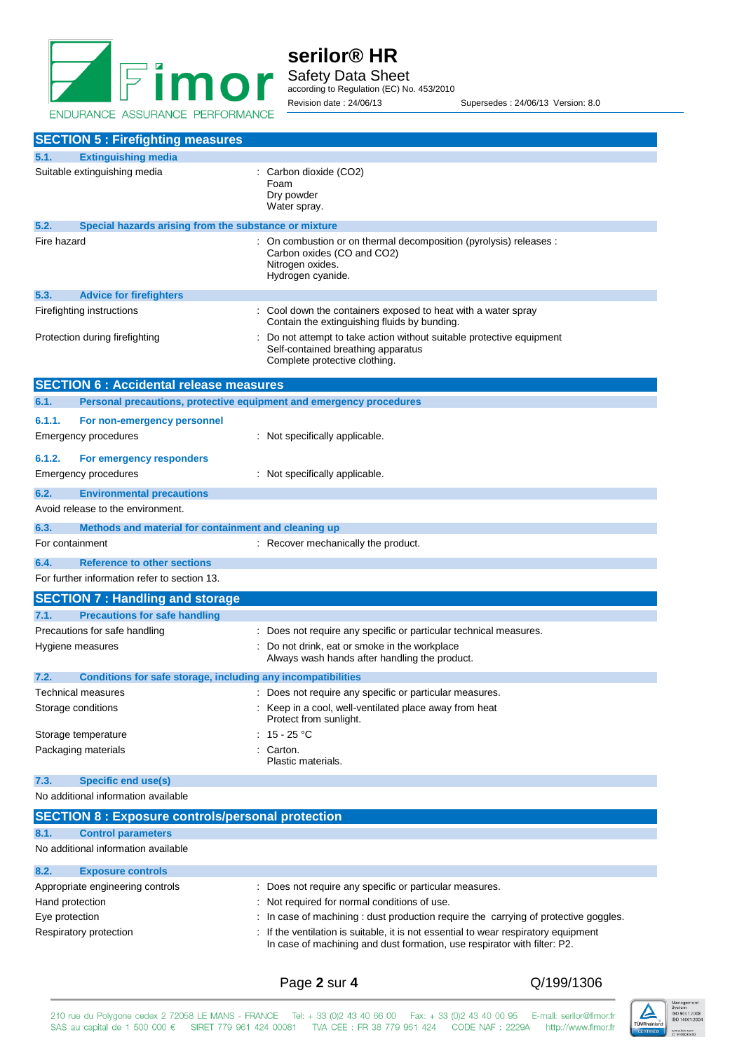

**serilor® HR** Safety Data Sheet according to Regulation (EC) No. 453/2010 Revision date : 24/06/13 Supersedes : 24/06/13 Version: 8.0

| <b>SECTION 5: Firefighting measures</b>                                     |                                                                                                                                            |
|-----------------------------------------------------------------------------|--------------------------------------------------------------------------------------------------------------------------------------------|
| <b>Extinguishing media</b><br>5.1.                                          |                                                                                                                                            |
| Suitable extinguishing media                                                | : Carbon dioxide (CO2)<br>Foam<br>Dry powder<br>Water spray.                                                                               |
| 5.2.<br>Special hazards arising from the substance or mixture               |                                                                                                                                            |
| Fire hazard                                                                 | : On combustion or on thermal decomposition (pyrolysis) releases :<br>Carbon oxides (CO and CO2)<br>Nitrogen oxides.<br>Hydrogen cyanide.  |
| 5.3.<br><b>Advice for firefighters</b>                                      |                                                                                                                                            |
| Firefighting instructions                                                   | : Cool down the containers exposed to heat with a water spray<br>Contain the extinguishing fluids by bunding.                              |
| Protection during firefighting                                              | Do not attempt to take action without suitable protective equipment<br>Self-contained breathing apparatus<br>Complete protective clothing. |
| <b>SECTION 6 : Accidental release measures</b>                              |                                                                                                                                            |
| Personal precautions, protective equipment and emergency procedures<br>6.1. |                                                                                                                                            |
| 6.1.1.<br>For non-emergency personnel                                       |                                                                                                                                            |
| Emergency procedures                                                        | : Not specifically applicable.                                                                                                             |
| 6.1.2.<br>For emergency responders                                          |                                                                                                                                            |
| Emergency procedures                                                        | : Not specifically applicable.                                                                                                             |
| 6.2.<br><b>Environmental precautions</b>                                    |                                                                                                                                            |
| Avoid release to the environment.                                           |                                                                                                                                            |
| 6.3.<br>Methods and material for containment and cleaning up                |                                                                                                                                            |
| For containment                                                             | : Recover mechanically the product.                                                                                                        |
| 6.4.<br><b>Reference to other sections</b>                                  |                                                                                                                                            |
| For further information refer to section 13.                                |                                                                                                                                            |
| <b>SECTION 7: Handling and storage</b>                                      |                                                                                                                                            |
| <b>Precautions for safe handling</b><br>7.1.                                |                                                                                                                                            |
| Precautions for safe handling                                               | : Does not require any specific or particular technical measures.                                                                          |
| Hygiene measures                                                            | Do not drink, eat or smoke in the workplace<br>Always wash hands after handling the product.                                               |
| 7.2.<br>Conditions for safe storage, including any incompatibilities        |                                                                                                                                            |
| <b>Technical measures</b>                                                   | Does not require any specific or particular measures.                                                                                      |
| Storage conditions                                                          | Keep in a cool, well-ventilated place away from heat<br>Protect from sunlight.                                                             |
| Storage temperature                                                         | : $15 - 25 °C$                                                                                                                             |
| Packaging materials                                                         | : Carton.<br>Plastic materials.                                                                                                            |
| 7.3.<br><b>Specific end use(s)</b>                                          |                                                                                                                                            |
| No additional information available                                         |                                                                                                                                            |
| <b>SECTION 8: Exposure controls/personal protection</b>                     |                                                                                                                                            |
| 8.1.<br><b>Control parameters</b>                                           |                                                                                                                                            |
| No additional information available                                         |                                                                                                                                            |
| 8.2.<br><b>Exposure controls</b>                                            |                                                                                                                                            |
| Appropriate engineering controls                                            | : Does not require any specific or particular measures.                                                                                    |
| Hand protection                                                             | Not required for normal conditions of use.                                                                                                 |
| Eve protection                                                              | In case of machining dust production require the carrying of protective googles                                                            |

Eye protection summary contact the carrying of protective goggles.<br>  $\blacksquare$  In case of machining : dust production require the carrying of protective goggles. Respiratory protection : If the ventilation is suitable, it is not essential to wear respiratory equipment In case of machining and dust formation, use respirator with filter: P2.

Page **2** sur **4** Q/199/1306

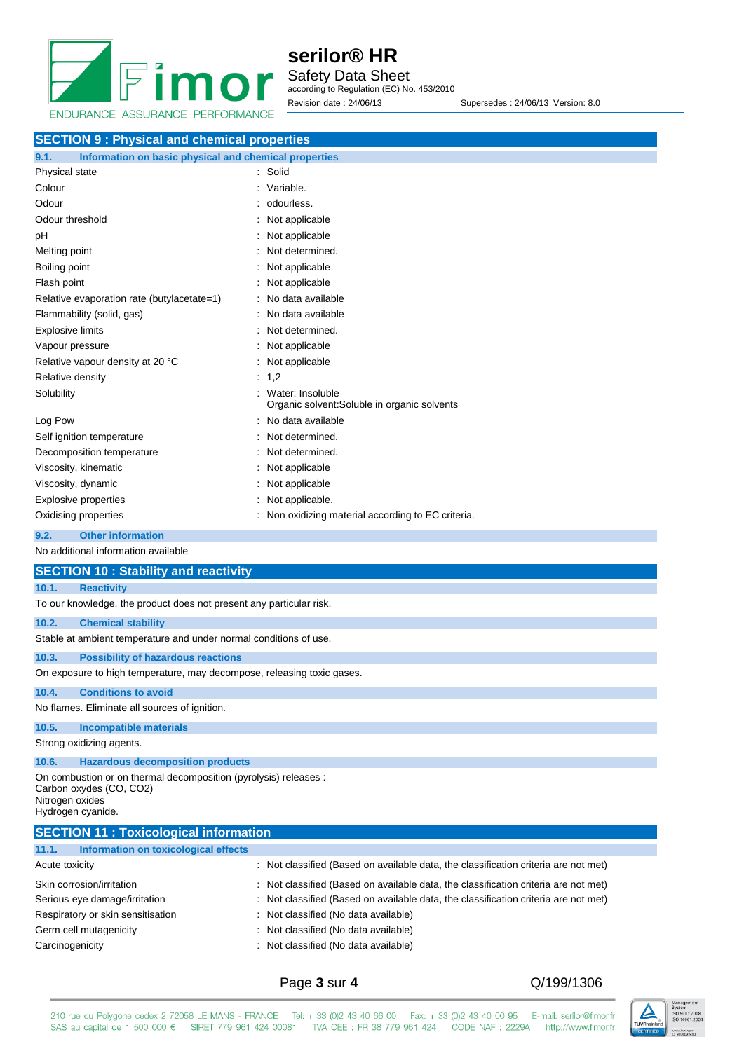

**serilor® HR** Safety Data Sheet according to Regulation (EC) No. 453/2010 Revision date : 24/06/13 Supersedes : 24/06/13 Version: 8.0

| <b>SECTION 9: Physical and chemical properties</b>            |  |                                                                  |  |  |
|---------------------------------------------------------------|--|------------------------------------------------------------------|--|--|
| Information on basic physical and chemical properties<br>9.1. |  |                                                                  |  |  |
| Physical state                                                |  | : Solid                                                          |  |  |
| Colour                                                        |  | Variable.                                                        |  |  |
| Odour                                                         |  | odourless.                                                       |  |  |
| Odour threshold                                               |  | Not applicable                                                   |  |  |
| рH                                                            |  | Not applicable                                                   |  |  |
| Melting point                                                 |  | Not determined.                                                  |  |  |
| Boiling point                                                 |  | Not applicable                                                   |  |  |
| Flash point                                                   |  | Not applicable                                                   |  |  |
| Relative evaporation rate (butylacetate=1)                    |  | No data available                                                |  |  |
| Flammability (solid, gas)                                     |  | No data available                                                |  |  |
| <b>Explosive limits</b>                                       |  | Not determined.                                                  |  |  |
| Vapour pressure                                               |  | Not applicable                                                   |  |  |
| Relative vapour density at 20 °C                              |  | Not applicable                                                   |  |  |
| Relative density                                              |  | 1,2                                                              |  |  |
| Solubility                                                    |  | Water: Insoluble<br>Organic solvent: Soluble in organic solvents |  |  |
| Log Pow                                                       |  | No data available                                                |  |  |
| Self ignition temperature                                     |  | Not determined.                                                  |  |  |
| Decomposition temperature                                     |  | Not determined.                                                  |  |  |
| Viscosity, kinematic                                          |  | Not applicable                                                   |  |  |
| Viscosity, dynamic                                            |  | Not applicable                                                   |  |  |
| <b>Explosive properties</b>                                   |  | Not applicable.                                                  |  |  |
| Oxidising properties                                          |  | Non oxidizing material according to EC criteria.                 |  |  |

### **9.2. Other information**

No additional information available

| <b>SECTION 10: Stability and reactivity</b>                                                                                         |                                                                                     |
|-------------------------------------------------------------------------------------------------------------------------------------|-------------------------------------------------------------------------------------|
| 10.1.<br><b>Reactivity</b>                                                                                                          |                                                                                     |
| To our knowledge, the product does not present any particular risk.                                                                 |                                                                                     |
| 10.2.<br><b>Chemical stability</b>                                                                                                  |                                                                                     |
| Stable at ambient temperature and under normal conditions of use.                                                                   |                                                                                     |
| 10.3.<br><b>Possibility of hazardous reactions</b>                                                                                  |                                                                                     |
| On exposure to high temperature, may decompose, releasing toxic gases.                                                              |                                                                                     |
| 10.4.<br><b>Conditions to avoid</b>                                                                                                 |                                                                                     |
| No flames. Eliminate all sources of ignition.                                                                                       |                                                                                     |
| 10.5.<br><b>Incompatible materials</b>                                                                                              |                                                                                     |
| Strong oxidizing agents.                                                                                                            |                                                                                     |
| 10.6.<br><b>Hazardous decomposition products</b>                                                                                    |                                                                                     |
| On combustion or on thermal decomposition (pyrolysis) releases :<br>Carbon oxydes (CO, CO2)<br>Nitrogen oxides<br>Hydrogen cyanide. |                                                                                     |
| <b>SECTION 11 : Toxicological information</b>                                                                                       |                                                                                     |
| 11.1.<br>Information on toxicological effects                                                                                       |                                                                                     |
| Acute toxicity                                                                                                                      | : Not classified (Based on available data, the classification criteria are not met) |
| Skin corrosion/irritation                                                                                                           | : Not classified (Based on available data, the classification criteria are not met) |
| Serious eye damage/irritation                                                                                                       | Not classified (Based on available data, the classification criteria are not met)   |
| Respiratory or skin sensitisation                                                                                                   | Not classified (No data available)                                                  |
| Germ cell mutagenicity                                                                                                              | Not classified (No data available)                                                  |

Carcinogenicity **Carcinogenicity** : Not classified (No data available)

Page **3** sur **4** Q/199/1306